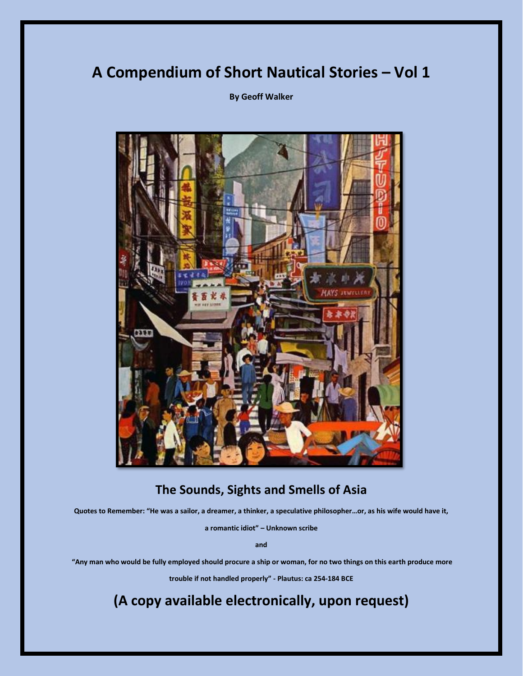## **A Compendium of Short Nautical Stories – Vol 1**

**By Geoff Walker**



## **The Sounds, Sights and Smells of Asia**

**Quotes to Remember: "He was a sailor, a dreamer, a thinker, a speculative philosopher…or, as his wife would have it,** 

**a romantic idiot" – Unknown scribe**

**and**

**"Any man who would be fully employed should procure a ship or woman, for no two things on this earth produce more** 

**trouble if not handled properly" - Plautus: ca 254-184 BCE**

**(A copy available electronically, upon request)**